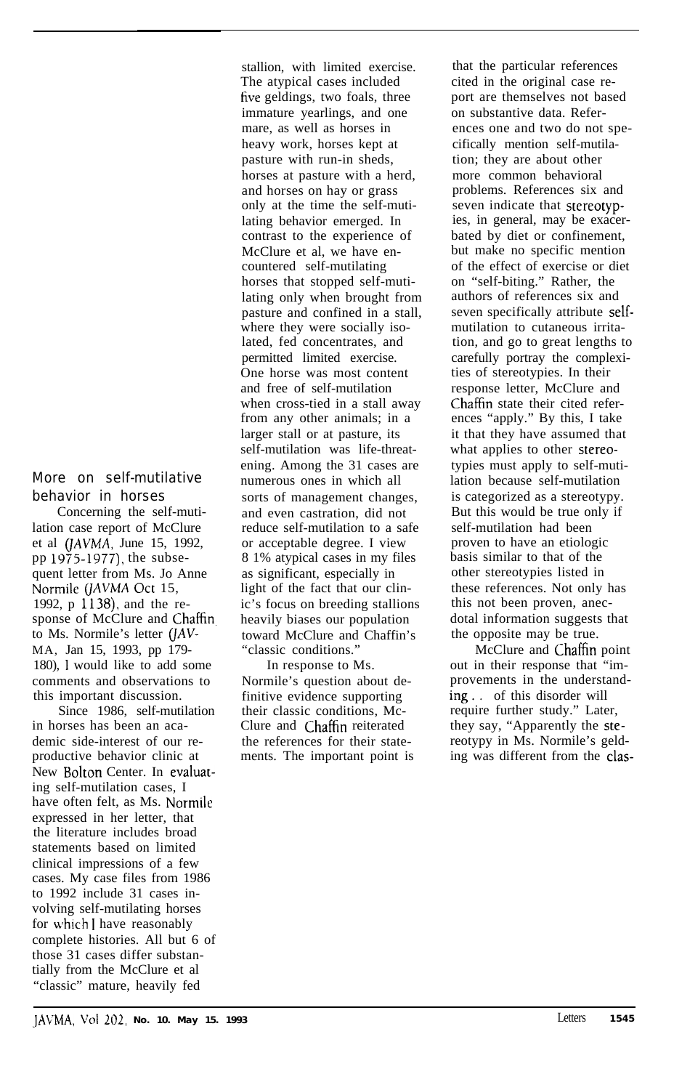More on self-mutilative behavior in horses

Concerning the self-mutilation case report of McClure et al  $(JAVMA, June 15, 1992,$ pp  $1975-1977$ ), the subsequent letter from Ms. Jo Anne Normile (JAVMA Oct 15, 1992, p 1138), and the response of McClure and Chaffin. to Ms. Normile's letter  $(JAV-$ MA, Jan 15, 1993, pp 179- 180), 1 would like to add some comments and observations to this important discussion.

Since 1986, self-mutilation in horses has been an academic side-interest of our reproductive behavior clinic at New Bolton Center. In evaluating self-mutilation cases, I have often felt, as Ms. Normile expressed in her letter, that the literature includes broad statements based on limited clinical impressions of a few cases. My case files from 1986 to 1992 include 31 cases involving self-mutilating horses for uhich I have reasonably complete histories. All but 6 of those 31 cases differ substantially from the McClure et al "classic" mature, heavily fed

stallion, with limited exercise. The atypical cases included five geldings, two foals, three immature yearlings, and one mare, as well as horses in heavy work, horses kept at pasture with run-in sheds, horses at pasture with a herd, and horses on hay or grass only at the time the self-mutilating behavior emerged. In contrast to the experience of McClure et al, we have encountered self-mutilating horses that stopped self-mutilating only when brought from pasture and confined in a stall, where they were socially isolated, fed concentrates, and permitted limited exercise. One horse was most content and free of self-mutilation when cross-tied in a stall away from any other animals; in a larger stall or at pasture, its self-mutilation was life-threatening. Among the 31 cases are numerous ones in which all sorts of management changes, and even castration, did not reduce self-mutilation to a safe or acceptable degree. I view 8 1% atypical cases in my files as significant, especially in light of the fact that our clinic's focus on breeding stallions heavily biases our population toward McClure and Chaffin's "classic conditions."

In response to Ms. Normile's question about definitive evidence supporting their classic conditions, Mc-Clure and Chaffin reiterated the references for their statements. The important point is

that the particular references cited in the original case report are themselves not based on substantive data. References one and two do not specifically mention self-mutilation; they are about other more common behavioral problems. References six and seven indicate that stereotypies, in general, may be exacerbated by diet or confinement, but make no specific mention of the effect of exercise or diet on "self-biting." Rather, the authors of references six and seven specifically attribute selfmutilation to cutaneous irritation, and go to great lengths to carefully portray the complexities of stereotypies. In their response letter, McClure and Chaffin state their cited references "apply." By this, I take it that they have assumed that what applies to other stereotypies must apply to self-mutilation because self-mutilation is categorized as a stereotypy. But this would be true only if self-mutilation had been proven to have an etiologic basis similar to that of the other stereotypies listed in these references. Not only has this not been proven, anecdotal information suggests that the opposite may be true.

McClure and Chaffin point out in their response that "improvements in the understanding.. of this disorder will require further study." Later, they say, "Apparently the stereotypy in Ms. Normile's gelding was different from the clas-